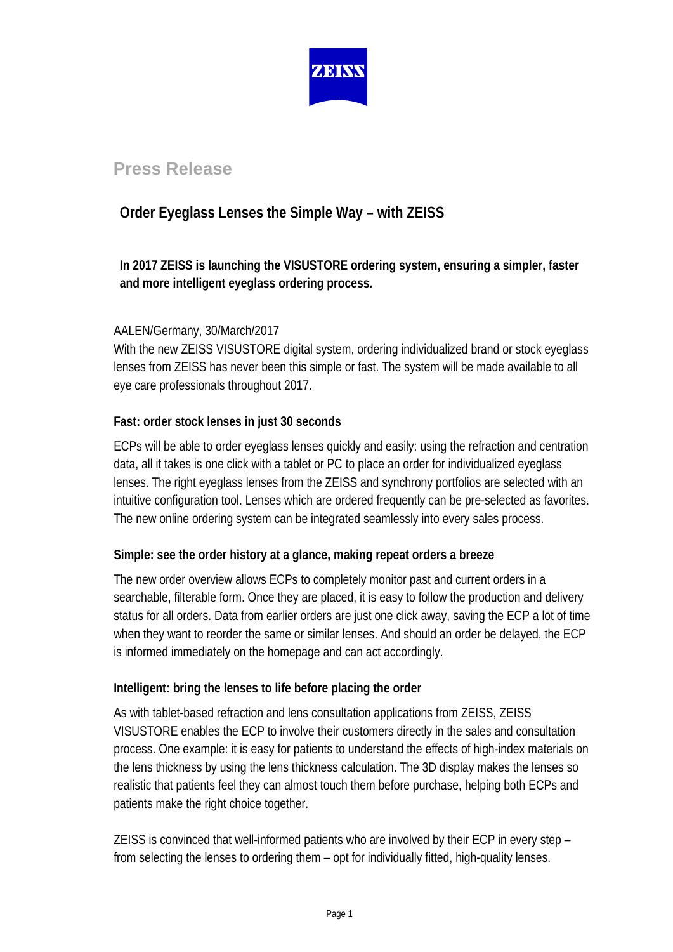

# **Press Release**

# **Order Eyeglass Lenses the Simple Way – with ZEISS**

## **In 2017 ZEISS is launching the VISUSTORE ordering system, ensuring a simpler, faster and more intelligent eyeglass ordering process.**

### AALEN/Germany, 30/March/2017

With the new ZEISS VISUSTORE digital system, ordering individualized brand or stock eyeglass lenses from ZEISS has never been this simple or fast. The system will be made available to all eye care professionals throughout 2017.

### **Fast: order stock lenses in just 30 seconds**

ECPs will be able to order eyeglass lenses quickly and easily: using the refraction and centration data, all it takes is one click with a tablet or PC to place an order for individualized eyeglass lenses. The right eyeglass lenses from the ZEISS and synchrony portfolios are selected with an intuitive configuration tool. Lenses which are ordered frequently can be pre-selected as favorites. The new online ordering system can be integrated seamlessly into every sales process.

### **Simple: see the order history at a glance, making repeat orders a breeze**

The new order overview allows ECPs to completely monitor past and current orders in a searchable, filterable form. Once they are placed, it is easy to follow the production and delivery status for all orders. Data from earlier orders are just one click away, saving the ECP a lot of time when they want to reorder the same or similar lenses. And should an order be delayed, the ECP is informed immediately on the homepage and can act accordingly.

## **Intelligent: bring the lenses to life before placing the order**

As with tablet-based refraction and lens consultation applications from ZEISS, ZEISS VISUSTORE enables the ECP to involve their customers directly in the sales and consultation process. One example: it is easy for patients to understand the effects of high-index materials on the lens thickness by using the lens thickness calculation. The 3D display makes the lenses so realistic that patients feel they can almost touch them before purchase, helping both ECPs and patients make the right choice together.

ZEISS is convinced that well-informed patients who are involved by their ECP in every step – from selecting the lenses to ordering them – opt for individually fitted, high-quality lenses.